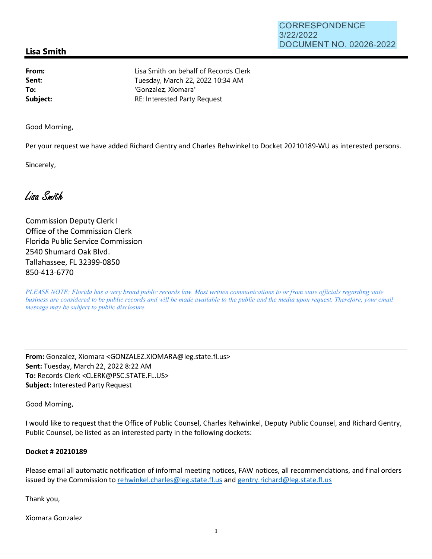## **Lisa Smith**

**From: Sent: To: Subject:**  Lisa Smith on behalf of Records Clerk Tuesday, March 22, 2022 10:34 AM 'Gonzalez, Xiomara' RE: Interested Party Request

Good Morning,

Per your request we have added Richard Gentry and Charles Rehwinkel to Docket 20210189-WU as interested persons.

Sincerely,

Lisa Smith

Commission Deputy Clerk I Office of the Commission Clerk Florida Public Service Commission 2540 Shumard Oak Blvd. Tallahassee, FL 32399-0850 850-413-6770

*PLEASE NOTE: Florida has a very broad public records law. Most written communications to or from state officials regarding state business are considered to be public records and will be made available to the public and the media upon request. Therefore, your email message may be subject to public disclosure.* 

**From:** Gonzalez, Xiomara <GONZALEZ.XIOMARA@leg.state.fl.us> **Sent:** Tuesday, March 22, 2022 8:22 AM **To:** Records Clerk <CLERK@PSC.STATE.FL.US> **Subject:** Interested Party Request

Good Morning,

I would like to request that the Office of Public Counsel, Charles Rehwinkel, Deputy Public Counsel, and Richard Gentry, Public Counsel, be listed as an interested party in the following dockets:

## **Docket # 20210189**

Please email all automatic notification of informal meeting notices, FAW notices, all recommendations, and final orders issued by the Commission to rehwinkel.charles@leg.state.fl.us and gentry.richard@leg.state.fl.us

Thank you,

Xiomara Gonzalez